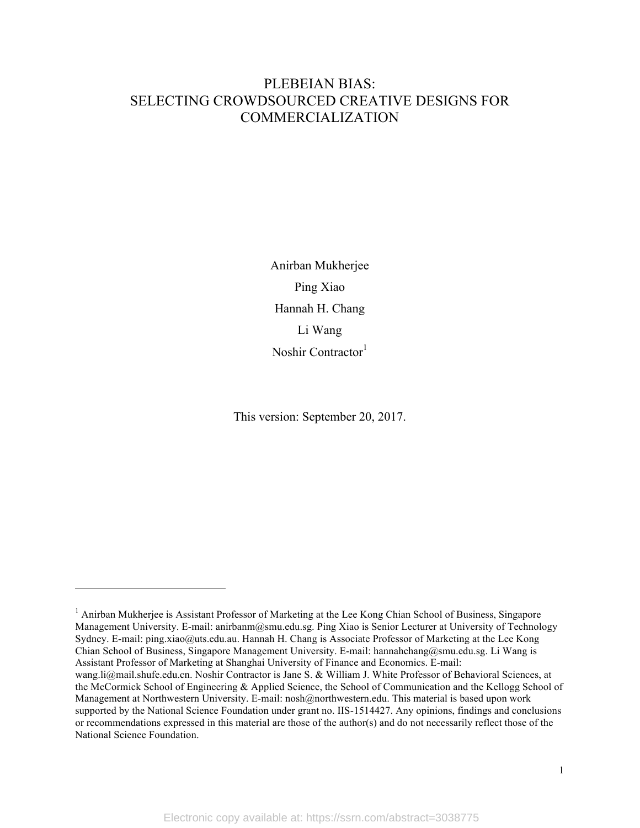# PLEBEIAN BIAS: SELECTING CROWDSOURCED CREATIVE DESIGNS FOR COMMERCIALIZATION

Anirban Mukherjee Ping Xiao Hannah H. Chang Li Wang Noshir Contractor<sup>1</sup>

This version: September 20, 2017.

 $\overline{a}$ 

<sup>&</sup>lt;sup>1</sup> Anirban Mukherjee is Assistant Professor of Marketing at the Lee Kong Chian School of Business, Singapore Management University. E-mail: anirbanm@smu.edu.sg. Ping Xiao is Senior Lecturer at University of Technology Sydney. E-mail: ping.xiao@uts.edu.au. Hannah H. Chang is Associate Professor of Marketing at the Lee Kong Chian School of Business, Singapore Management University. E-mail: hannahchang@smu.edu.sg. Li Wang is Assistant Professor of Marketing at Shanghai University of Finance and Economics. E-mail: wang.li@mail.shufe.edu.cn. Noshir Contractor is Jane S. & William J. White Professor of Behavioral Sciences, at the McCormick School of Engineering & Applied Science, the School of Communication and the Kellogg School of Management at Northwestern University. E-mail: nosh@northwestern.edu. This material is based upon work supported by the National Science Foundation under grant no. IIS-1514427. Any opinions, findings and conclusions or recommendations expressed in this material are those of the author(s) and do not necessarily reflect those of the National Science Foundation.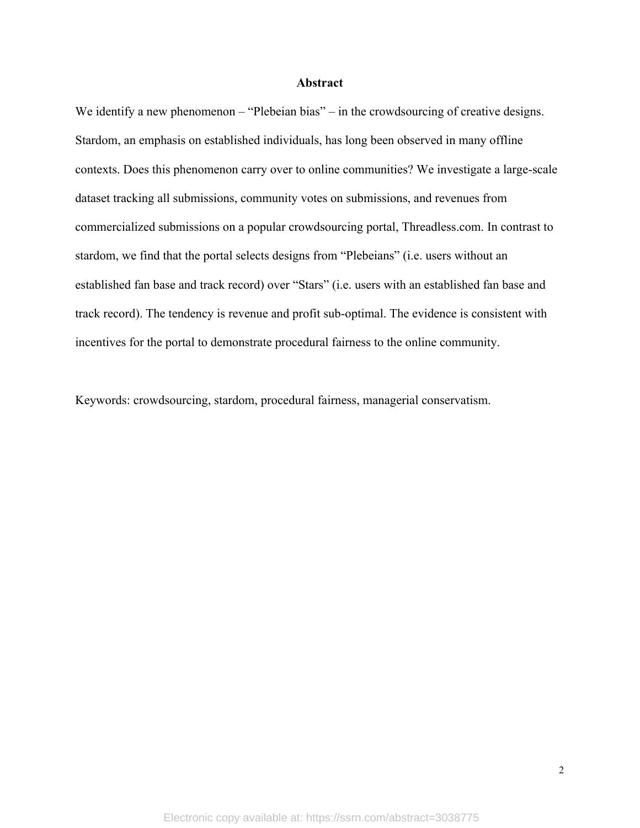#### **Abstract**

We identify a new phenomenon – "Plebeian bias" – in the crowdsourcing of creative designs. Stardom, an emphasis on established individuals, has long been observed in many offline contexts. Does this phenomenon carry over to online communities? We investigate a large-scale dataset tracking all submissions, community votes on submissions, and revenues from commercialized submissions on a popular crowdsourcing portal, Threadless.com. In contrast to stardom, we find that the portal selects designs from "Plebeians" (i.e. users without an established fan base and track record) over "Stars" (i.e. users with an established fan base and track record). The tendency is revenue and profit sub-optimal. The evidence is consistent with incentives for the portal to demonstrate procedural fairness to the online community.

Keywords: crowdsourcing, stardom, procedural fairness, managerial conservatism.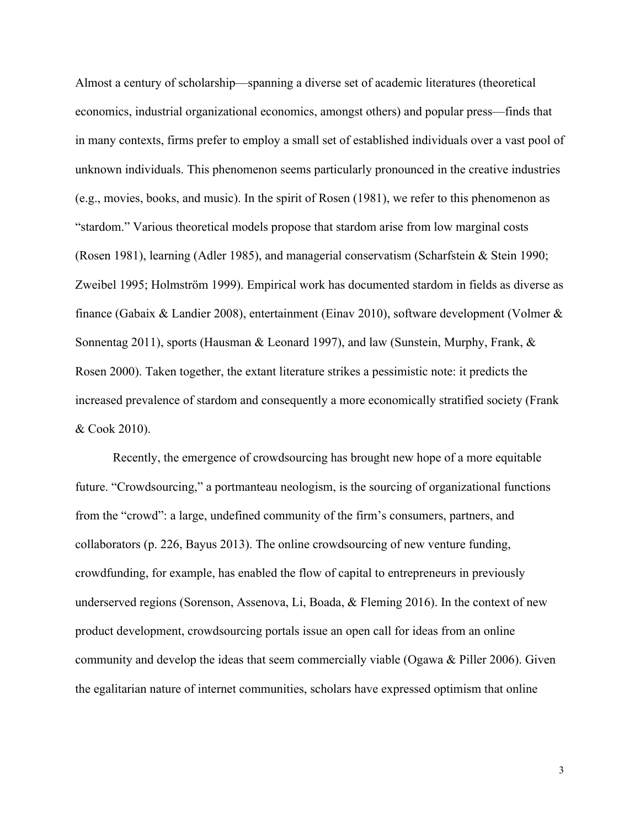Almost a century of scholarship—spanning a diverse set of academic literatures (theoretical economics, industrial organizational economics, amongst others) and popular press—finds that in many contexts, firms prefer to employ a small set of established individuals over a vast pool of unknown individuals. This phenomenon seems particularly pronounced in the creative industries (e.g., movies, books, and music). In the spirit of Rosen (1981), we refer to this phenomenon as "stardom." Various theoretical models propose that stardom arise from low marginal costs (Rosen 1981), learning (Adler 1985), and managerial conservatism (Scharfstein & Stein 1990; Zweibel 1995; Holmström 1999). Empirical work has documented stardom in fields as diverse as finance (Gabaix & Landier 2008), entertainment (Einav 2010), software development (Volmer & Sonnentag 2011), sports (Hausman & Leonard 1997), and law (Sunstein, Murphy, Frank, & Rosen 2000). Taken together, the extant literature strikes a pessimistic note: it predicts the increased prevalence of stardom and consequently a more economically stratified society (Frank & Cook 2010).

Recently, the emergence of crowdsourcing has brought new hope of a more equitable future. "Crowdsourcing," a portmanteau neologism, is the sourcing of organizational functions from the "crowd": a large, undefined community of the firm's consumers, partners, and collaborators (p. 226, Bayus 2013). The online crowdsourcing of new venture funding, crowdfunding, for example, has enabled the flow of capital to entrepreneurs in previously underserved regions (Sorenson, Assenova, Li, Boada, & Fleming 2016). In the context of new product development, crowdsourcing portals issue an open call for ideas from an online community and develop the ideas that seem commercially viable (Ogawa & Piller 2006). Given the egalitarian nature of internet communities, scholars have expressed optimism that online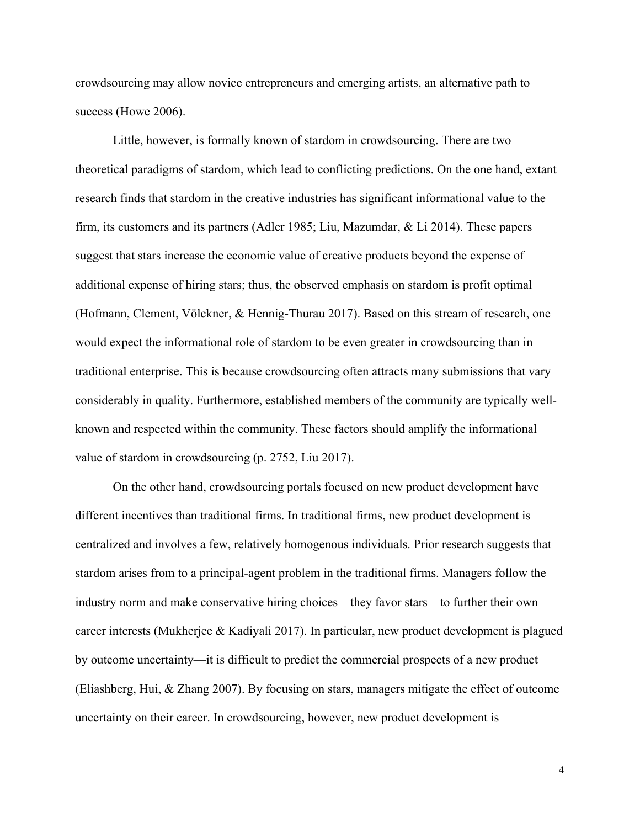crowdsourcing may allow novice entrepreneurs and emerging artists, an alternative path to success (Howe 2006).

Little, however, is formally known of stardom in crowdsourcing. There are two theoretical paradigms of stardom, which lead to conflicting predictions. On the one hand, extant research finds that stardom in the creative industries has significant informational value to the firm, its customers and its partners (Adler 1985; Liu, Mazumdar, & Li 2014). These papers suggest that stars increase the economic value of creative products beyond the expense of additional expense of hiring stars; thus, the observed emphasis on stardom is profit optimal (Hofmann, Clement, Völckner, & Hennig-Thurau 2017). Based on this stream of research, one would expect the informational role of stardom to be even greater in crowdsourcing than in traditional enterprise. This is because crowdsourcing often attracts many submissions that vary considerably in quality. Furthermore, established members of the community are typically wellknown and respected within the community. These factors should amplify the informational value of stardom in crowdsourcing (p. 2752, Liu 2017).

On the other hand, crowdsourcing portals focused on new product development have different incentives than traditional firms. In traditional firms, new product development is centralized and involves a few, relatively homogenous individuals. Prior research suggests that stardom arises from to a principal-agent problem in the traditional firms. Managers follow the industry norm and make conservative hiring choices – they favor stars – to further their own career interests (Mukherjee & Kadiyali 2017). In particular, new product development is plagued by outcome uncertainty—it is difficult to predict the commercial prospects of a new product (Eliashberg, Hui, & Zhang 2007). By focusing on stars, managers mitigate the effect of outcome uncertainty on their career. In crowdsourcing, however, new product development is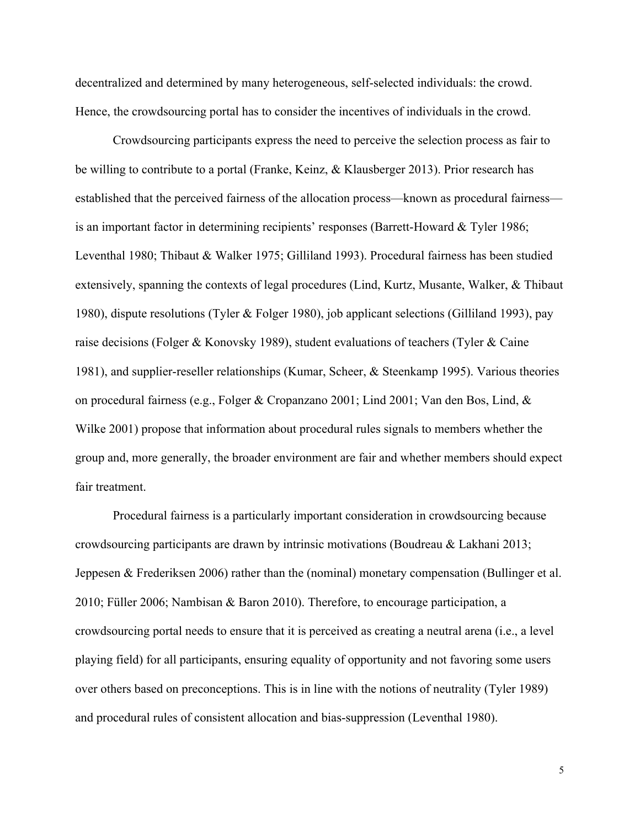decentralized and determined by many heterogeneous, self-selected individuals: the crowd. Hence, the crowdsourcing portal has to consider the incentives of individuals in the crowd.

Crowdsourcing participants express the need to perceive the selection process as fair to be willing to contribute to a portal (Franke, Keinz, & Klausberger 2013). Prior research has established that the perceived fairness of the allocation process—known as procedural fairness is an important factor in determining recipients' responses (Barrett-Howard & Tyler 1986; Leventhal 1980; Thibaut & Walker 1975; Gilliland 1993). Procedural fairness has been studied extensively, spanning the contexts of legal procedures (Lind, Kurtz, Musante, Walker, & Thibaut 1980), dispute resolutions (Tyler & Folger 1980), job applicant selections (Gilliland 1993), pay raise decisions (Folger & Konovsky 1989), student evaluations of teachers (Tyler & Caine 1981), and supplier-reseller relationships (Kumar, Scheer, & Steenkamp 1995). Various theories on procedural fairness (e.g., Folger & Cropanzano 2001; Lind 2001; Van den Bos, Lind, & Wilke 2001) propose that information about procedural rules signals to members whether the group and, more generally, the broader environment are fair and whether members should expect fair treatment.

Procedural fairness is a particularly important consideration in crowdsourcing because crowdsourcing participants are drawn by intrinsic motivations (Boudreau & Lakhani 2013; Jeppesen & Frederiksen 2006) rather than the (nominal) monetary compensation (Bullinger et al. 2010; Füller 2006; Nambisan & Baron 2010). Therefore, to encourage participation, a crowdsourcing portal needs to ensure that it is perceived as creating a neutral arena (i.e., a level playing field) for all participants, ensuring equality of opportunity and not favoring some users over others based on preconceptions. This is in line with the notions of neutrality (Tyler 1989) and procedural rules of consistent allocation and bias-suppression (Leventhal 1980).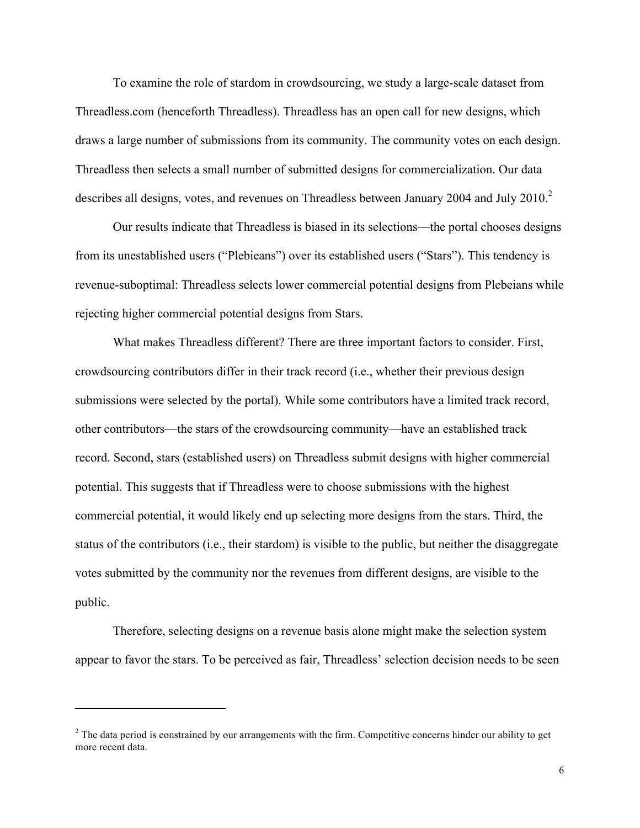To examine the role of stardom in crowdsourcing, we study a large-scale dataset from Threadless.com (henceforth Threadless). Threadless has an open call for new designs, which draws a large number of submissions from its community. The community votes on each design. Threadless then selects a small number of submitted designs for commercialization. Our data describes all designs, votes, and revenues on Threadless between January 2004 and July  $2010$ .<sup>2</sup>

Our results indicate that Threadless is biased in its selections—the portal chooses designs from its unestablished users ("Plebieans") over its established users ("Stars"). This tendency is revenue-suboptimal: Threadless selects lower commercial potential designs from Plebeians while rejecting higher commercial potential designs from Stars.

What makes Threadless different? There are three important factors to consider. First, crowdsourcing contributors differ in their track record (i.e., whether their previous design submissions were selected by the portal). While some contributors have a limited track record, other contributors—the stars of the crowdsourcing community—have an established track record. Second, stars (established users) on Threadless submit designs with higher commercial potential. This suggests that if Threadless were to choose submissions with the highest commercial potential, it would likely end up selecting more designs from the stars. Third, the status of the contributors (i.e., their stardom) is visible to the public, but neither the disaggregate votes submitted by the community nor the revenues from different designs, are visible to the public.

Therefore, selecting designs on a revenue basis alone might make the selection system appear to favor the stars. To be perceived as fair, Threadless' selection decision needs to be seen

 $\overline{a}$ 

 $2$  The data period is constrained by our arrangements with the firm. Competitive concerns hinder our ability to get more recent data.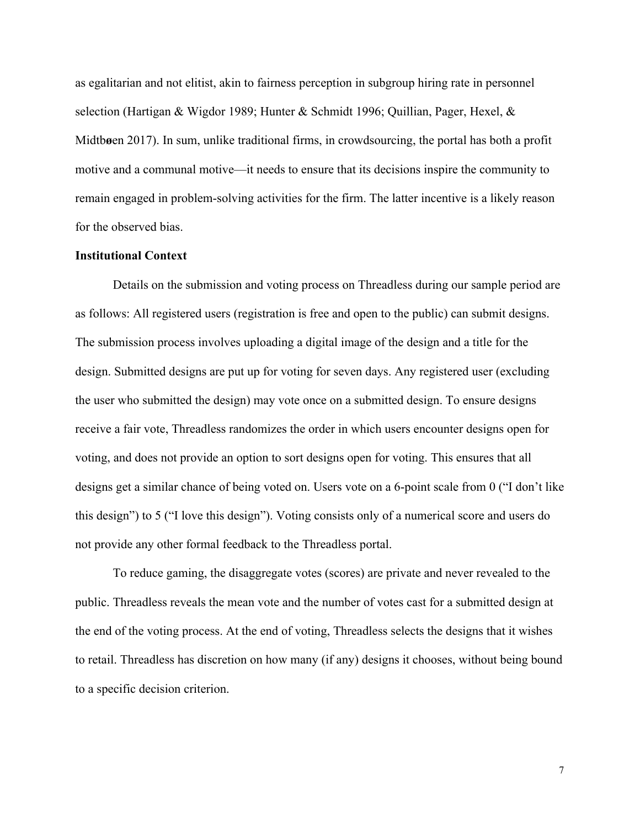as egalitarian and not elitist, akin to fairness perception in subgroup hiring rate in personnel selection (Hartigan & Wigdor 1989; Hunter & Schmidt 1996; Quillian, Pager, Hexel, & Midtb**ø**en 2017). In sum, unlike traditional firms, in crowdsourcing, the portal has both a profit motive and a communal motive—it needs to ensure that its decisions inspire the community to remain engaged in problem-solving activities for the firm. The latter incentive is a likely reason for the observed bias.

### **Institutional Context**

Details on the submission and voting process on Threadless during our sample period are as follows: All registered users (registration is free and open to the public) can submit designs. The submission process involves uploading a digital image of the design and a title for the design. Submitted designs are put up for voting for seven days. Any registered user (excluding the user who submitted the design) may vote once on a submitted design. To ensure designs receive a fair vote, Threadless randomizes the order in which users encounter designs open for voting, and does not provide an option to sort designs open for voting. This ensures that all designs get a similar chance of being voted on. Users vote on a 6-point scale from 0 ("I don't like this design") to 5 ("I love this design"). Voting consists only of a numerical score and users do not provide any other formal feedback to the Threadless portal.

To reduce gaming, the disaggregate votes (scores) are private and never revealed to the public. Threadless reveals the mean vote and the number of votes cast for a submitted design at the end of the voting process. At the end of voting, Threadless selects the designs that it wishes to retail. Threadless has discretion on how many (if any) designs it chooses, without being bound to a specific decision criterion.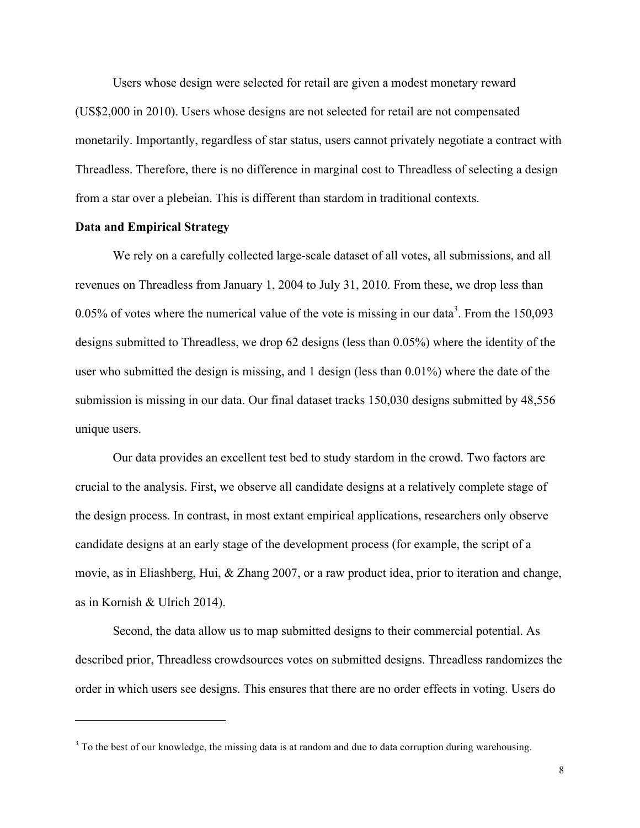Users whose design were selected for retail are given a modest monetary reward (US\$2,000 in 2010). Users whose designs are not selected for retail are not compensated monetarily. Importantly, regardless of star status, users cannot privately negotiate a contract with Threadless. Therefore, there is no difference in marginal cost to Threadless of selecting a design from a star over a plebeian. This is different than stardom in traditional contexts.

### **Data and Empirical Strategy**

 $\overline{a}$ 

We rely on a carefully collected large-scale dataset of all votes, all submissions, and all revenues on Threadless from January 1, 2004 to July 31, 2010. From these, we drop less than 0.05% of votes where the numerical value of the vote is missing in our data<sup>3</sup>. From the  $150,093$ designs submitted to Threadless, we drop 62 designs (less than 0.05%) where the identity of the user who submitted the design is missing, and 1 design (less than 0.01%) where the date of the submission is missing in our data. Our final dataset tracks 150,030 designs submitted by 48,556 unique users.

Our data provides an excellent test bed to study stardom in the crowd. Two factors are crucial to the analysis. First, we observe all candidate designs at a relatively complete stage of the design process. In contrast, in most extant empirical applications, researchers only observe candidate designs at an early stage of the development process (for example, the script of a movie, as in Eliashberg, Hui, & Zhang 2007, or a raw product idea, prior to iteration and change, as in Kornish & Ulrich 2014).

Second, the data allow us to map submitted designs to their commercial potential. As described prior, Threadless crowdsources votes on submitted designs. Threadless randomizes the order in which users see designs. This ensures that there are no order effects in voting. Users do

<sup>&</sup>lt;sup>3</sup> To the best of our knowledge, the missing data is at random and due to data corruption during warehousing.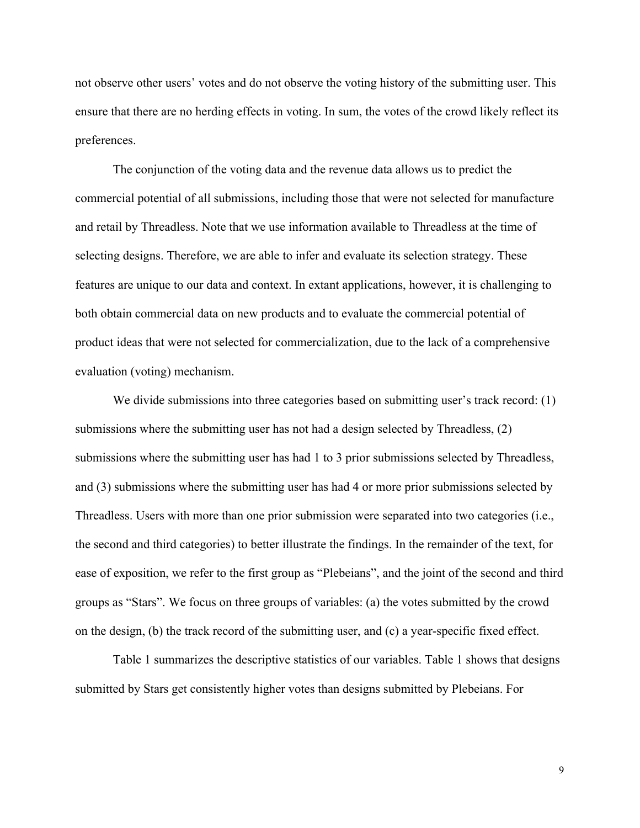not observe other users' votes and do not observe the voting history of the submitting user. This ensure that there are no herding effects in voting. In sum, the votes of the crowd likely reflect its preferences.

The conjunction of the voting data and the revenue data allows us to predict the commercial potential of all submissions, including those that were not selected for manufacture and retail by Threadless. Note that we use information available to Threadless at the time of selecting designs. Therefore, we are able to infer and evaluate its selection strategy. These features are unique to our data and context. In extant applications, however, it is challenging to both obtain commercial data on new products and to evaluate the commercial potential of product ideas that were not selected for commercialization, due to the lack of a comprehensive evaluation (voting) mechanism.

We divide submissions into three categories based on submitting user's track record: (1) submissions where the submitting user has not had a design selected by Threadless, (2) submissions where the submitting user has had 1 to 3 prior submissions selected by Threadless, and (3) submissions where the submitting user has had 4 or more prior submissions selected by Threadless. Users with more than one prior submission were separated into two categories (i.e., the second and third categories) to better illustrate the findings. In the remainder of the text, for ease of exposition, we refer to the first group as "Plebeians", and the joint of the second and third groups as "Stars". We focus on three groups of variables: (a) the votes submitted by the crowd on the design, (b) the track record of the submitting user, and (c) a year-specific fixed effect.

Table 1 summarizes the descriptive statistics of our variables. Table 1 shows that designs submitted by Stars get consistently higher votes than designs submitted by Plebeians. For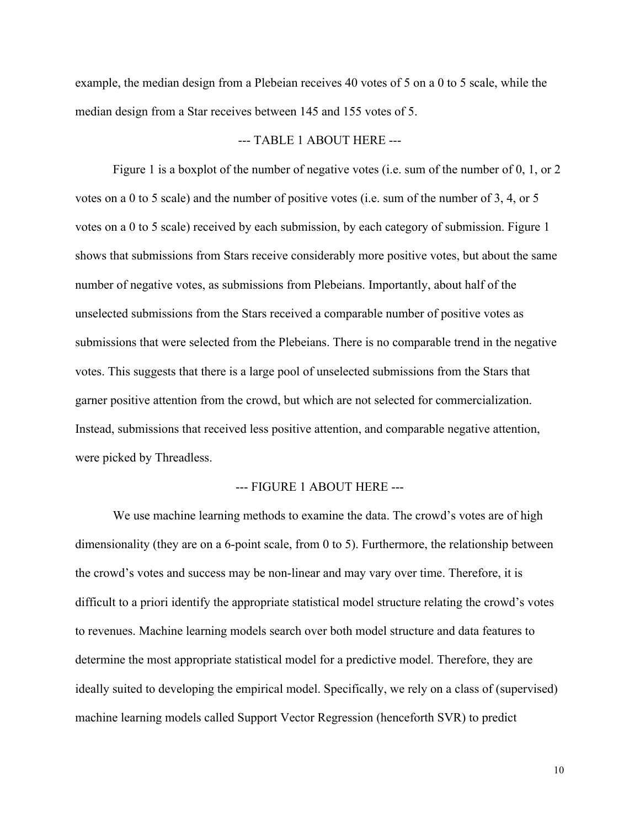example, the median design from a Plebeian receives 40 votes of 5 on a 0 to 5 scale, while the median design from a Star receives between 145 and 155 votes of 5.

### --- TABLE 1 ABOUT HERE ---

Figure 1 is a boxplot of the number of negative votes (i.e. sum of the number of 0, 1, or 2 votes on a 0 to 5 scale) and the number of positive votes (i.e. sum of the number of 3, 4, or 5 votes on a 0 to 5 scale) received by each submission, by each category of submission. Figure 1 shows that submissions from Stars receive considerably more positive votes, but about the same number of negative votes, as submissions from Plebeians. Importantly, about half of the unselected submissions from the Stars received a comparable number of positive votes as submissions that were selected from the Plebeians. There is no comparable trend in the negative votes. This suggests that there is a large pool of unselected submissions from the Stars that garner positive attention from the crowd, but which are not selected for commercialization. Instead, submissions that received less positive attention, and comparable negative attention, were picked by Threadless.

#### --- FIGURE 1 ABOUT HERE ---

We use machine learning methods to examine the data. The crowd's votes are of high dimensionality (they are on a 6-point scale, from 0 to 5). Furthermore, the relationship between the crowd's votes and success may be non-linear and may vary over time. Therefore, it is difficult to a priori identify the appropriate statistical model structure relating the crowd's votes to revenues. Machine learning models search over both model structure and data features to determine the most appropriate statistical model for a predictive model. Therefore, they are ideally suited to developing the empirical model. Specifically, we rely on a class of (supervised) machine learning models called Support Vector Regression (henceforth SVR) to predict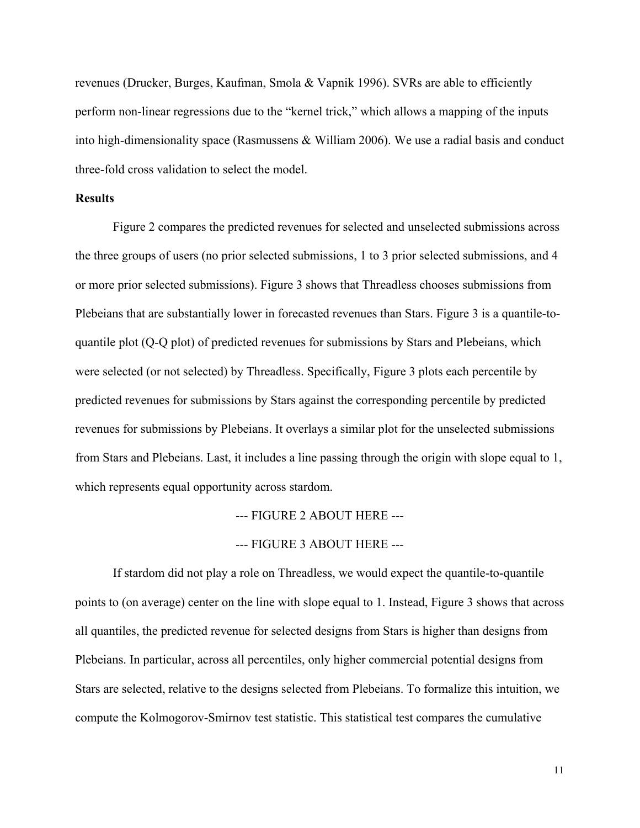revenues (Drucker, Burges, Kaufman, Smola & Vapnik 1996). SVRs are able to efficiently perform non-linear regressions due to the "kernel trick," which allows a mapping of the inputs into high-dimensionality space (Rasmussens  $\&$  William 2006). We use a radial basis and conduct three-fold cross validation to select the model.

### **Results**

Figure 2 compares the predicted revenues for selected and unselected submissions across the three groups of users (no prior selected submissions, 1 to 3 prior selected submissions, and 4 or more prior selected submissions). Figure 3 shows that Threadless chooses submissions from Plebeians that are substantially lower in forecasted revenues than Stars. Figure 3 is a quantile-toquantile plot (Q-Q plot) of predicted revenues for submissions by Stars and Plebeians, which were selected (or not selected) by Threadless. Specifically, Figure 3 plots each percentile by predicted revenues for submissions by Stars against the corresponding percentile by predicted revenues for submissions by Plebeians. It overlays a similar plot for the unselected submissions from Stars and Plebeians. Last, it includes a line passing through the origin with slope equal to 1, which represents equal opportunity across stardom.

--- FIGURE 2 ABOUT HERE ---

--- FIGURE 3 ABOUT HERE ---

If stardom did not play a role on Threadless, we would expect the quantile-to-quantile points to (on average) center on the line with slope equal to 1. Instead, Figure 3 shows that across all quantiles, the predicted revenue for selected designs from Stars is higher than designs from Plebeians. In particular, across all percentiles, only higher commercial potential designs from Stars are selected, relative to the designs selected from Plebeians. To formalize this intuition, we compute the Kolmogorov-Smirnov test statistic. This statistical test compares the cumulative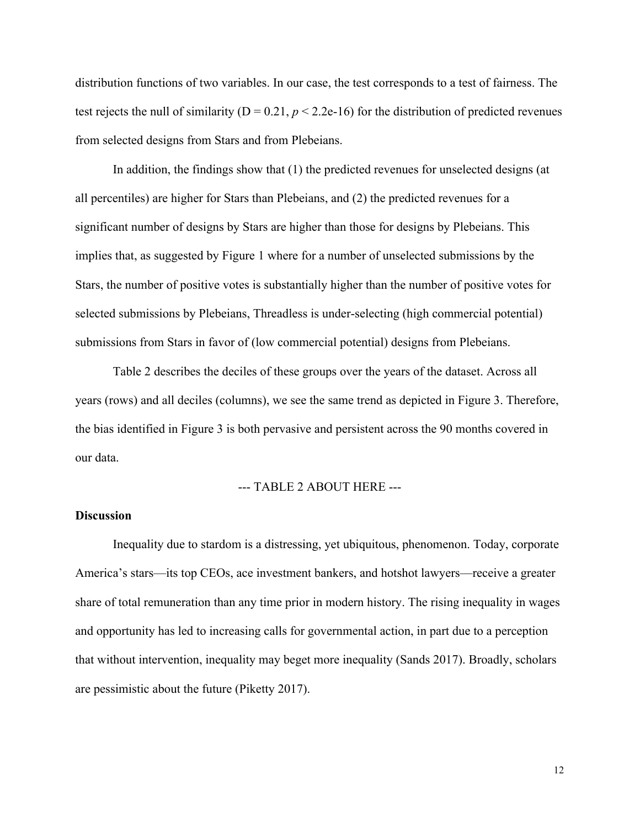distribution functions of two variables. In our case, the test corresponds to a test of fairness. The test rejects the null of similarity ( $D = 0.21$ ,  $p < 2.2e-16$ ) for the distribution of predicted revenues from selected designs from Stars and from Plebeians.

In addition, the findings show that (1) the predicted revenues for unselected designs (at all percentiles) are higher for Stars than Plebeians, and (2) the predicted revenues for a significant number of designs by Stars are higher than those for designs by Plebeians. This implies that, as suggested by Figure 1 where for a number of unselected submissions by the Stars, the number of positive votes is substantially higher than the number of positive votes for selected submissions by Plebeians, Threadless is under-selecting (high commercial potential) submissions from Stars in favor of (low commercial potential) designs from Plebeians.

Table 2 describes the deciles of these groups over the years of the dataset. Across all years (rows) and all deciles (columns), we see the same trend as depicted in Figure 3. Therefore, the bias identified in Figure 3 is both pervasive and persistent across the 90 months covered in our data.

#### --- TABLE 2 ABOUT HERE ---

#### **Discussion**

Inequality due to stardom is a distressing, yet ubiquitous, phenomenon. Today, corporate America's stars—its top CEOs, ace investment bankers, and hotshot lawyers—receive a greater share of total remuneration than any time prior in modern history. The rising inequality in wages and opportunity has led to increasing calls for governmental action, in part due to a perception that without intervention, inequality may beget more inequality (Sands 2017). Broadly, scholars are pessimistic about the future (Piketty 2017).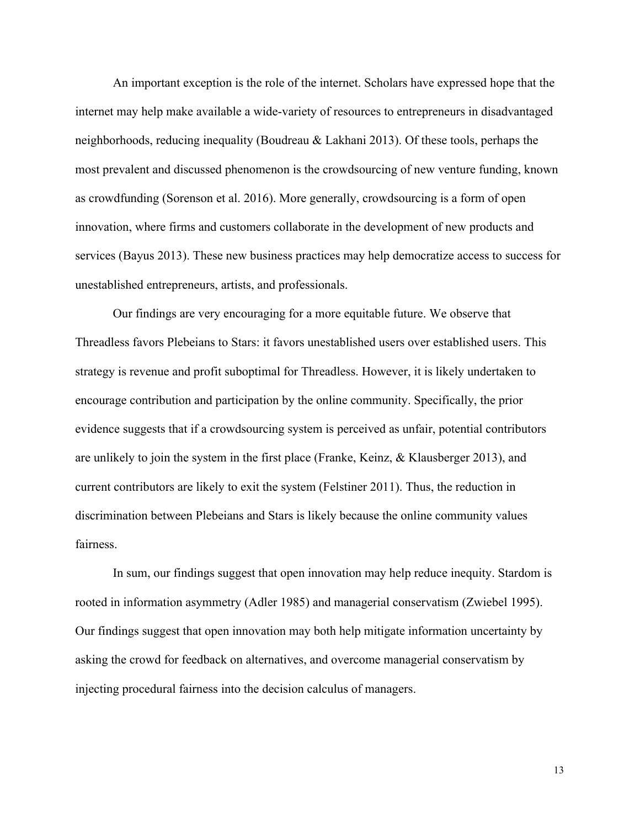An important exception is the role of the internet. Scholars have expressed hope that the internet may help make available a wide-variety of resources to entrepreneurs in disadvantaged neighborhoods, reducing inequality (Boudreau & Lakhani 2013). Of these tools, perhaps the most prevalent and discussed phenomenon is the crowdsourcing of new venture funding, known as crowdfunding (Sorenson et al. 2016). More generally, crowdsourcing is a form of open innovation, where firms and customers collaborate in the development of new products and services (Bayus 2013). These new business practices may help democratize access to success for unestablished entrepreneurs, artists, and professionals.

Our findings are very encouraging for a more equitable future. We observe that Threadless favors Plebeians to Stars: it favors unestablished users over established users. This strategy is revenue and profit suboptimal for Threadless. However, it is likely undertaken to encourage contribution and participation by the online community. Specifically, the prior evidence suggests that if a crowdsourcing system is perceived as unfair, potential contributors are unlikely to join the system in the first place (Franke, Keinz, & Klausberger 2013), and current contributors are likely to exit the system (Felstiner 2011). Thus, the reduction in discrimination between Plebeians and Stars is likely because the online community values fairness.

In sum, our findings suggest that open innovation may help reduce inequity. Stardom is rooted in information asymmetry (Adler 1985) and managerial conservatism (Zwiebel 1995). Our findings suggest that open innovation may both help mitigate information uncertainty by asking the crowd for feedback on alternatives, and overcome managerial conservatism by injecting procedural fairness into the decision calculus of managers.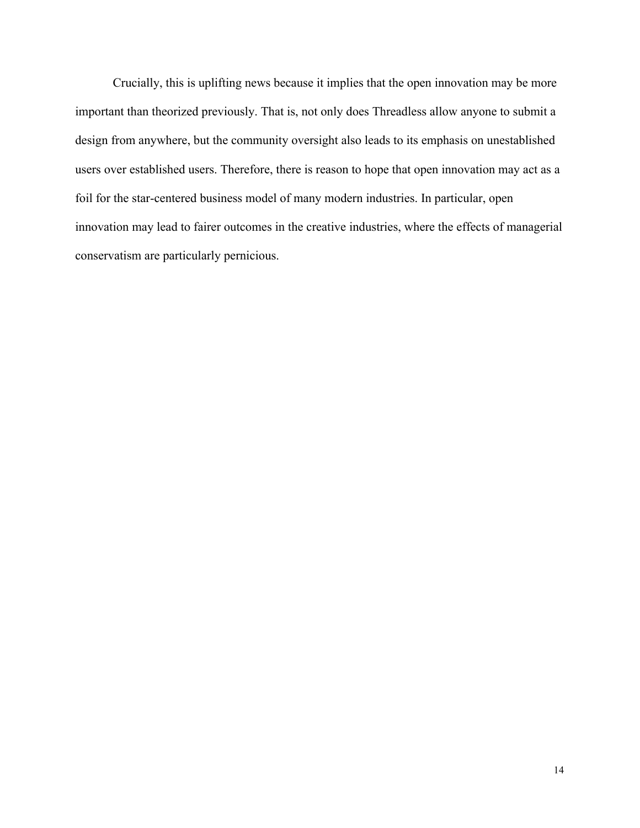Crucially, this is uplifting news because it implies that the open innovation may be more important than theorized previously. That is, not only does Threadless allow anyone to submit a design from anywhere, but the community oversight also leads to its emphasis on unestablished users over established users. Therefore, there is reason to hope that open innovation may act as a foil for the star-centered business model of many modern industries. In particular, open innovation may lead to fairer outcomes in the creative industries, where the effects of managerial conservatism are particularly pernicious.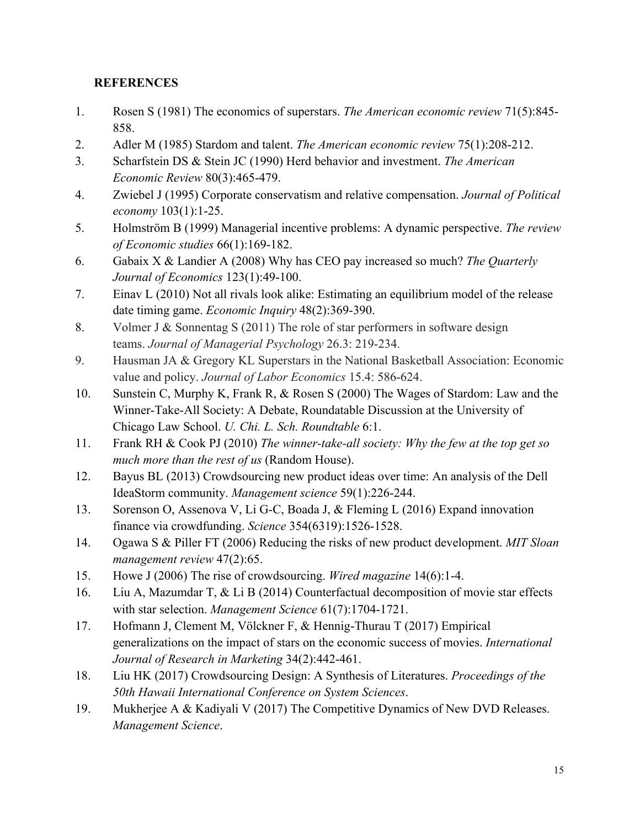## **REFERENCES**

- 1. Rosen S (1981) The economics of superstars. *The American economic review* 71(5):845- 858.
- 2. Adler M (1985) Stardom and talent. *The American economic review* 75(1):208-212.
- 3. Scharfstein DS & Stein JC (1990) Herd behavior and investment. *The American Economic Review* 80(3):465-479.
- 4. Zwiebel J (1995) Corporate conservatism and relative compensation. *Journal of Political economy* 103(1):1-25.
- 5. Holmström B (1999) Managerial incentive problems: A dynamic perspective. *The review of Economic studies* 66(1):169-182.
- 6. Gabaix X & Landier A (2008) Why has CEO pay increased so much? *The Quarterly Journal of Economics* 123(1):49-100.
- 7. Einav L (2010) Not all rivals look alike: Estimating an equilibrium model of the release date timing game. *Economic Inquiry* 48(2):369-390.
- 8. Volmer J & Sonnentag S (2011) The role of star performers in software design teams. *Journal of Managerial Psychology* 26.3: 219-234.
- 9. Hausman JA & Gregory KL Superstars in the National Basketball Association: Economic value and policy. *Journal of Labor Economics* 15.4: 586-624.
- 10. Sunstein C, Murphy K, Frank R, & Rosen S (2000) The Wages of Stardom: Law and the Winner-Take-All Society: A Debate, Roundatable Discussion at the University of Chicago Law School. *U. Chi. L. Sch. Roundtable* 6:1.
- 11. Frank RH & Cook PJ (2010) *The winner-take-all society: Why the few at the top get so much more than the rest of us* (Random House).
- 12. Bayus BL (2013) Crowdsourcing new product ideas over time: An analysis of the Dell IdeaStorm community. *Management science* 59(1):226-244.
- 13. Sorenson O, Assenova V, Li G-C, Boada J, & Fleming L (2016) Expand innovation finance via crowdfunding. *Science* 354(6319):1526-1528.
- 14. Ogawa S & Piller FT (2006) Reducing the risks of new product development. *MIT Sloan management review* 47(2):65.
- 15. Howe J (2006) The rise of crowdsourcing. *Wired magazine* 14(6):1-4.
- 16. Liu A, Mazumdar T, & Li B (2014) Counterfactual decomposition of movie star effects with star selection. *Management Science* 61(7):1704-1721.
- 17. Hofmann J, Clement M, Völckner F, & Hennig-Thurau T (2017) Empirical generalizations on the impact of stars on the economic success of movies. *International Journal of Research in Marketing* 34(2):442-461.
- 18. Liu HK (2017) Crowdsourcing Design: A Synthesis of Literatures. *Proceedings of the 50th Hawaii International Conference on System Sciences*.
- 19. Mukherjee A & Kadiyali V (2017) The Competitive Dynamics of New DVD Releases. *Management Science*.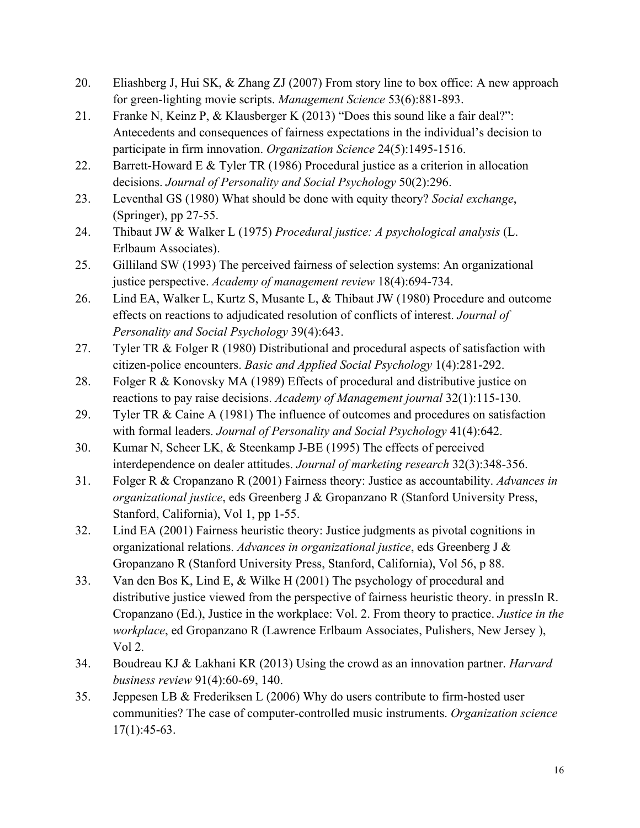- 20. Eliashberg J, Hui SK, & Zhang ZJ (2007) From story line to box office: A new approach for green-lighting movie scripts. *Management Science* 53(6):881-893.
- 21. Franke N, Keinz P, & Klausberger K (2013) "Does this sound like a fair deal?": Antecedents and consequences of fairness expectations in the individual's decision to participate in firm innovation. *Organization Science* 24(5):1495-1516.
- 22. Barrett-Howard E & Tyler TR (1986) Procedural justice as a criterion in allocation decisions. *Journal of Personality and Social Psychology* 50(2):296.
- 23. Leventhal GS (1980) What should be done with equity theory? *Social exchange*, (Springer), pp 27-55.
- 24. Thibaut JW & Walker L (1975) *Procedural justice: A psychological analysis* (L. Erlbaum Associates).
- 25. Gilliland SW (1993) The perceived fairness of selection systems: An organizational justice perspective. *Academy of management review* 18(4):694-734.
- 26. Lind EA, Walker L, Kurtz S, Musante L, & Thibaut JW (1980) Procedure and outcome effects on reactions to adjudicated resolution of conflicts of interest. *Journal of Personality and Social Psychology* 39(4):643.
- 27. Tyler TR & Folger R (1980) Distributional and procedural aspects of satisfaction with citizen-police encounters. *Basic and Applied Social Psychology* 1(4):281-292.
- 28. Folger R & Konovsky MA (1989) Effects of procedural and distributive justice on reactions to pay raise decisions. *Academy of Management journal* 32(1):115-130.
- 29. Tyler TR & Caine A (1981) The influence of outcomes and procedures on satisfaction with formal leaders. *Journal of Personality and Social Psychology* 41(4):642.
- 30. Kumar N, Scheer LK, & Steenkamp J-BE (1995) The effects of perceived interdependence on dealer attitudes. *Journal of marketing research* 32(3):348-356.
- 31. Folger R & Cropanzano R (2001) Fairness theory: Justice as accountability. *Advances in organizational justice*, eds Greenberg J & Gropanzano R (Stanford University Press, Stanford, California), Vol 1, pp 1-55.
- 32. Lind EA (2001) Fairness heuristic theory: Justice judgments as pivotal cognitions in organizational relations. *Advances in organizational justice*, eds Greenberg J & Gropanzano R (Stanford University Press, Stanford, California), Vol 56, p 88.
- 33. Van den Bos K, Lind E, & Wilke H (2001) The psychology of procedural and distributive justice viewed from the perspective of fairness heuristic theory. in pressIn R. Cropanzano (Ed.), Justice in the workplace: Vol. 2. From theory to practice. *Justice in the workplace*, ed Gropanzano R (Lawrence Erlbaum Associates, Pulishers, New Jersey ), Vol 2.
- 34. Boudreau KJ & Lakhani KR (2013) Using the crowd as an innovation partner. *Harvard business review* 91(4):60-69, 140.
- 35. Jeppesen LB & Frederiksen L (2006) Why do users contribute to firm-hosted user communities? The case of computer-controlled music instruments. *Organization science*  $17(1):45-63.$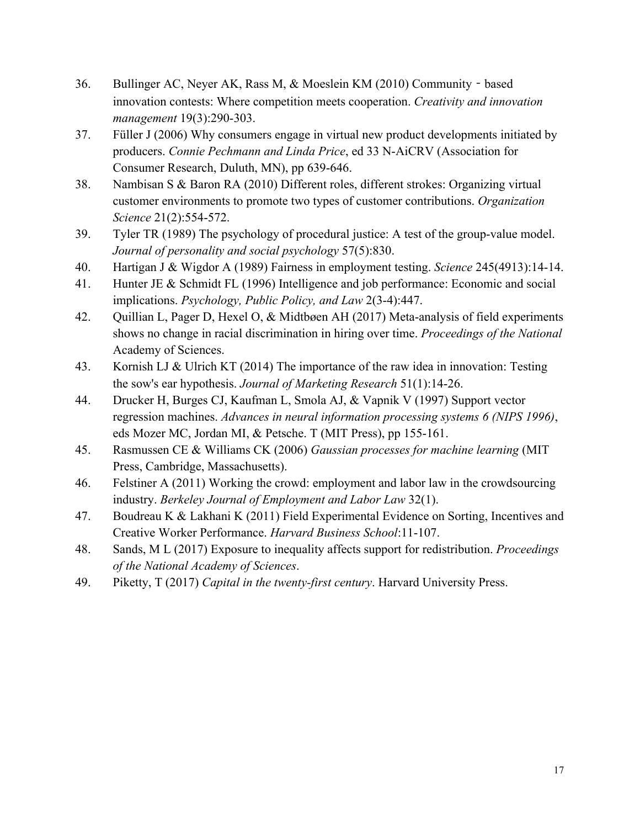- 36. Bullinger AC, Neyer AK, Rass M, & Moeslein KM (2010) Community based innovation contests: Where competition meets cooperation. *Creativity and innovation management* 19(3):290-303.
- 37. Füller J (2006) Why consumers engage in virtual new product developments initiated by producers. *Connie Pechmann and Linda Price*, ed 33 N-AiCRV (Association for Consumer Research, Duluth, MN), pp 639-646.
- 38. Nambisan S & Baron RA (2010) Different roles, different strokes: Organizing virtual customer environments to promote two types of customer contributions. *Organization Science* 21(2):554-572.
- 39. Tyler TR (1989) The psychology of procedural justice: A test of the group-value model. *Journal of personality and social psychology* 57(5):830.
- 40. Hartigan J & Wigdor A (1989) Fairness in employment testing. *Science* 245(4913):14-14.
- 41. Hunter JE & Schmidt FL (1996) Intelligence and job performance: Economic and social implications. *Psychology, Public Policy, and Law* 2(3-4):447.
- 42. Quillian L, Pager D, Hexel O, & Midtbøen AH (2017) Meta-analysis of field experiments shows no change in racial discrimination in hiring over time. *Proceedings of the National*  Academy of Sciences.
- 43. Kornish LJ & Ulrich KT (2014) The importance of the raw idea in innovation: Testing the sow's ear hypothesis. *Journal of Marketing Research* 51(1):14-26.
- 44. Drucker H, Burges CJ, Kaufman L, Smola AJ, & Vapnik V (1997) Support vector regression machines. *Advances in neural information processing systems 6 (NIPS 1996)*, eds Mozer MC, Jordan MI, & Petsche. T (MIT Press), pp 155-161.
- 45. Rasmussen CE & Williams CK (2006) *Gaussian processes for machine learning* (MIT Press, Cambridge, Massachusetts).
- 46. Felstiner A (2011) Working the crowd: employment and labor law in the crowdsourcing industry. *Berkeley Journal of Employment and Labor Law* 32(1).
- 47. Boudreau K & Lakhani K (2011) Field Experimental Evidence on Sorting, Incentives and Creative Worker Performance. *Harvard Business School*:11-107.
- 48. Sands, M L (2017) Exposure to inequality affects support for redistribution. *Proceedings of the National Academy of Sciences*.
- 49. Piketty, T (2017) *Capital in the twenty-first century*. Harvard University Press.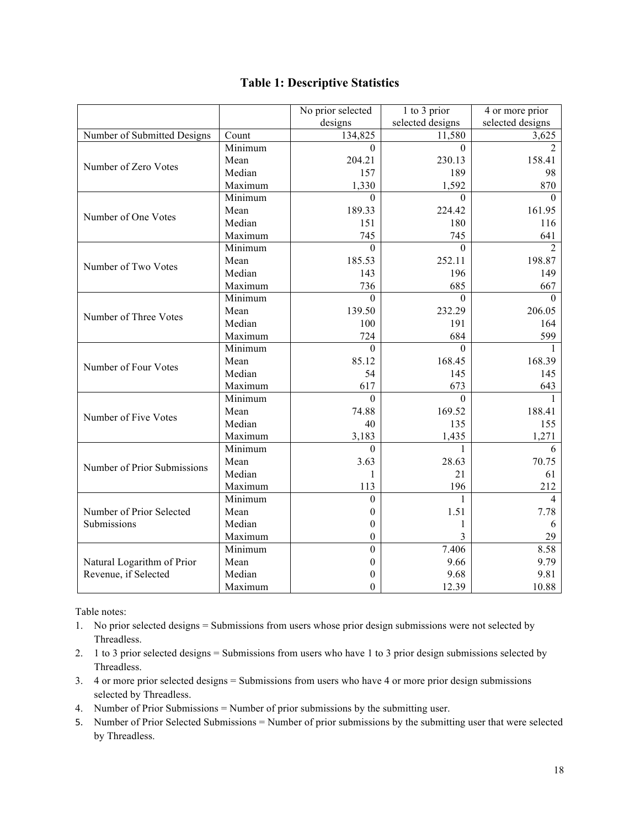|                             |         | No prior selected | 1 to 3 prior     | 4 or more prior  |
|-----------------------------|---------|-------------------|------------------|------------------|
|                             |         | designs           | selected designs | selected designs |
| Number of Submitted Designs | Count   | 134,825           | 11,580           | 3,625            |
|                             | Minimum | $\Omega$          | $\Omega$         | $\overline{2}$   |
|                             | Mean    | 204.21            | 230.13           | 158.41           |
| Number of Zero Votes        | Median  | 157               | 189              | 98               |
|                             | Maximum | 1,330             | 1,592            | 870              |
|                             | Minimum | $\Omega$          | $\Omega$         | $\Omega$         |
|                             | Mean    | 189.33            | 224.42           | 161.95           |
| Number of One Votes         | Median  | 151               | 180              | 116              |
|                             | Maximum | 745               | 745              | 641              |
|                             | Minimum | $\Omega$          | $\theta$         | $\overline{2}$   |
| Number of Two Votes         | Mean    | 185.53            | 252.11           | 198.87           |
|                             | Median  | 143               | 196              | 149              |
|                             | Maximum | 736               | 685              | 667              |
|                             | Minimum | $\Omega$          | $\Omega$         | $\Omega$         |
|                             | Mean    | 139.50            | 232.29           | 206.05           |
| Number of Three Votes       | Median  | 100               | 191              | 164              |
|                             | Maximum | 724               | 684              | 599              |
|                             | Minimum | $\theta$          | $\theta$         |                  |
|                             | Mean    | 85.12             | 168.45           | 168.39           |
| Number of Four Votes        | Median  | 54                | 145              | 145              |
|                             | Maximum | 617               | 673              | 643              |
|                             | Minimum | $\Omega$          | $\Omega$         |                  |
| Number of Five Votes        | Mean    | 74.88             | 169.52           | 188.41           |
|                             | Median  | 40                | 135              | 155              |
|                             | Maximum | 3,183             | 1,435            | 1,271            |
|                             | Minimum | $\Omega$          |                  | 6                |
| Number of Prior Submissions | Mean    | 3.63              | 28.63            | 70.75            |
|                             | Median  | 1                 | 21               | 61               |
|                             | Maximum | 113               | 196              | 212              |
|                             | Minimum | 0                 |                  | 4                |
| Number of Prior Selected    | Mean    | 0                 | 1.51             | 7.78             |
| Submissions                 | Median  | $\theta$          | 1                | 6                |
|                             | Maximum | $\theta$          | 3                | 29               |
|                             | Minimum | $\theta$          | 7.406            | 8.58             |
| Natural Logarithm of Prior  | Mean    | $\theta$          | 9.66             | 9.79             |
| Revenue, if Selected        | Median  | 0                 | 9.68             | 9.81             |
|                             | Maximum | $\theta$          | 12.39            | 10.88            |

## **Table 1: Descriptive Statistics**

Table notes:

- 1. No prior selected designs = Submissions from users whose prior design submissions were not selected by Threadless.
- 2. 1 to 3 prior selected designs = Submissions from users who have 1 to 3 prior design submissions selected by Threadless.
- 3. 4 or more prior selected designs = Submissions from users who have 4 or more prior design submissions selected by Threadless.
- 4. Number of Prior Submissions = Number of prior submissions by the submitting user.
- 5. Number of Prior Selected Submissions = Number of prior submissions by the submitting user that were selected by Threadless.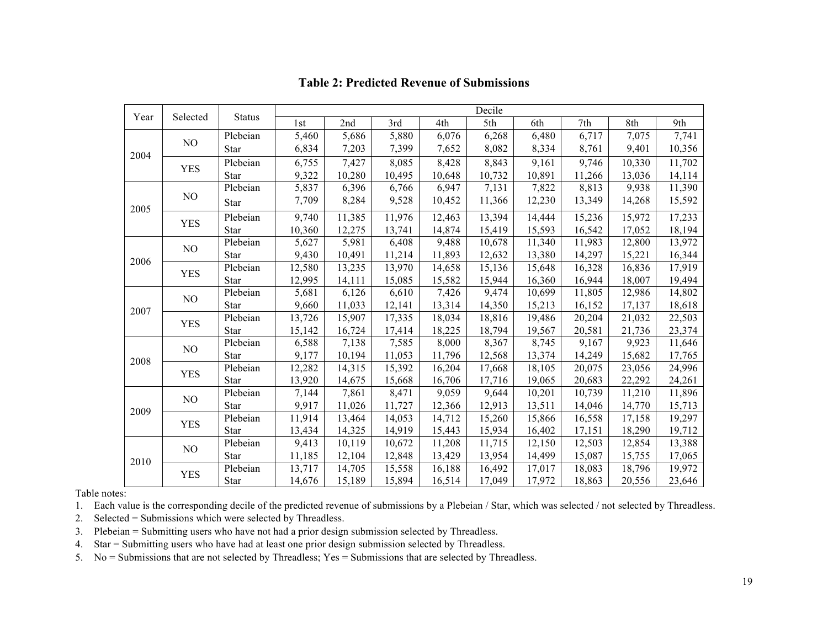| Year | Selected       | <b>Status</b> | Decile |        |        |        |        |        |        |        |        |
|------|----------------|---------------|--------|--------|--------|--------|--------|--------|--------|--------|--------|
|      |                |               | 1st    | 2nd    | 3rd    | 4th    | 5th    | 6th    | 7th    | 8th    | 9th    |
| 2004 | N <sub>O</sub> | Plebeian      | 5,460  | 5,686  | 5,880  | 6,076  | 6,268  | 6,480  | 6,717  | 7,075  | 7,741  |
|      |                | Star          | 6,834  | 7,203  | 7,399  | 7,652  | 8,082  | 8,334  | 8,761  | 9,401  | 10,356 |
|      | <b>YES</b>     | Plebeian      | 6,755  | 7,427  | 8,085  | 8,428  | 8,843  | 9,161  | 9,746  | 10,330 | 11,702 |
|      |                | Star          | 9,322  | 10,280 | 10,495 | 10,648 | 10,732 | 10,891 | 11,266 | 13,036 | 14,114 |
| 2005 | N <sub>O</sub> | Plebeian      | 5,837  | 6,396  | 6,766  | 6,947  | 7,131  | 7,822  | 8,813  | 9,938  | 11,390 |
|      |                | Star          | 7,709  | 8,284  | 9,528  | 10,452 | 11,366 | 12,230 | 13,349 | 14,268 | 15,592 |
|      | <b>YES</b>     | Plebeian      | 9,740  | 11,385 | 11,976 | 12,463 | 13,394 | 14,444 | 15,236 | 15,972 | 17,233 |
|      |                | Star          | 10,360 | 12,275 | 13,741 | 14,874 | 15,419 | 15,593 | 16,542 | 17,052 | 18,194 |
| 2006 | NO             | Plebeian      | 5,627  | 5,981  | 6,408  | 9,488  | 10,678 | 11,340 | 11,983 | 12,800 | 13,972 |
|      |                | Star          | 9,430  | 10,491 | 11,214 | 11,893 | 12,632 | 13,380 | 14,297 | 15,221 | 16,344 |
|      | <b>YES</b>     | Plebeian      | 12,580 | 13,235 | 13,970 | 14,658 | 15,136 | 15,648 | 16,328 | 16,836 | 17,919 |
|      |                | Star          | 12,995 | 14,111 | 15,085 | 15,582 | 15,944 | 16,360 | 16,944 | 18,007 | 19,494 |
| 2007 | N <sub>O</sub> | Plebeian      | 5,681  | 6,126  | 6,610  | 7,426  | 9,474  | 10,699 | 11,805 | 12,986 | 14,802 |
|      |                | Star          | 9,660  | 11,033 | 12,141 | 13,314 | 14,350 | 15,213 | 16,152 | 17,137 | 18,618 |
|      | <b>YES</b>     | Plebeian      | 13,726 | 15,907 | 17,335 | 18,034 | 18,816 | 19,486 | 20,204 | 21,032 | 22,503 |
|      |                | <b>Star</b>   | 15,142 | 16,724 | 17,414 | 18,225 | 18,794 | 19,567 | 20,581 | 21,736 | 23,374 |
| 2008 | NO             | Plebeian      | 6,588  | 7,138  | 7,585  | 8,000  | 8,367  | 8,745  | 9,167  | 9,923  | 11,646 |
|      |                | <b>Star</b>   | 9,177  | 10,194 | 11,053 | 11,796 | 12,568 | 13,374 | 14,249 | 15,682 | 17,765 |
|      | <b>YES</b>     | Plebeian      | 12,282 | 14,315 | 15,392 | 16,204 | 17,668 | 18,105 | 20,075 | 23,056 | 24,996 |
|      |                | Star          | 13,920 | 14,675 | 15,668 | 16,706 | 17,716 | 19,065 | 20,683 | 22,292 | 24,261 |
| 2009 | NO             | Plebeian      | 7,144  | 7,861  | 8,471  | 9,059  | 9,644  | 10,201 | 10,739 | 11,210 | 11,896 |
|      |                | Star          | 9,917  | 11,026 | 11,727 | 12,366 | 12,913 | 13,511 | 14,046 | 14,770 | 15,713 |
|      | <b>YES</b>     | Plebeian      | 11,914 | 13,464 | 14,053 | 14,712 | 15,260 | 15,866 | 16,558 | 17,158 | 19,297 |
|      |                | Star          | 13,434 | 14,325 | 14,919 | 15,443 | 15,934 | 16,402 | 17,151 | 18,290 | 19,712 |
| 2010 | NO             | Plebeian      | 9,413  | 10,119 | 10,672 | 11,208 | 11,715 | 12,150 | 12,503 | 12,854 | 13,388 |
|      |                | <b>Star</b>   | 11,185 | 12,104 | 12,848 | 13,429 | 13,954 | 14,499 | 15,087 | 15,755 | 17,065 |
|      | <b>YES</b>     | Plebeian      | 13,717 | 14,705 | 15,558 | 16,188 | 16,492 | 17,017 | 18,083 | 18,796 | 19,972 |
|      |                | Star          | 14,676 | 15,189 | 15,894 | 16,514 | 17,049 | 17,972 | 18,863 | 20,556 | 23,646 |

### **Table 2: Predicted Revenue of Submissions**

Table notes:

1. Each value is the corresponding decile of the predicted revenue of submissions by a Plebeian / Star, which was selected / not selected by Threadless.

2. Selected = Submissions which were selected by Threadless.

3. Plebeian = Submitting users who have not had a prior design submission selected by Threadless.

4. Star = Submitting users who have had at least one prior design submission selected by Threadless.

5. No = Submissions that are not selected by Threadless; Yes = Submissions that are selected by Threadless.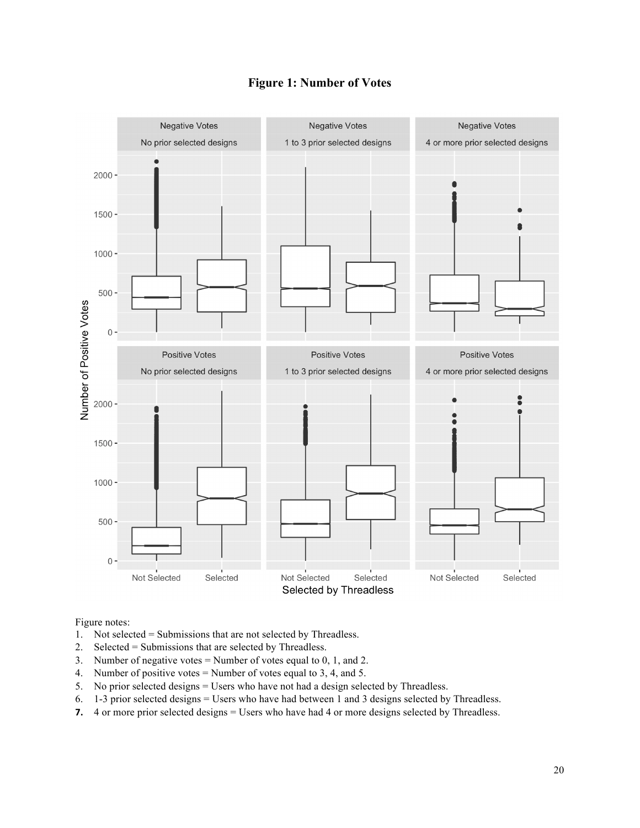

### **Figure 1: Number of Votes**

Figure notes:

- 1. Not selected = Submissions that are not selected by Threadless.
- 2. Selected = Submissions that are selected by Threadless.
- 3. Number of negative votes = Number of votes equal to 0, 1, and 2.
- 4. Number of positive votes = Number of votes equal to 3, 4, and 5.
- 5. No prior selected designs = Users who have not had a design selected by Threadless.
- 6. 1-3 prior selected designs = Users who have had between 1 and 3 designs selected by Threadless.
- **7.** 4 or more prior selected designs = Users who have had 4 or more designs selected by Threadless.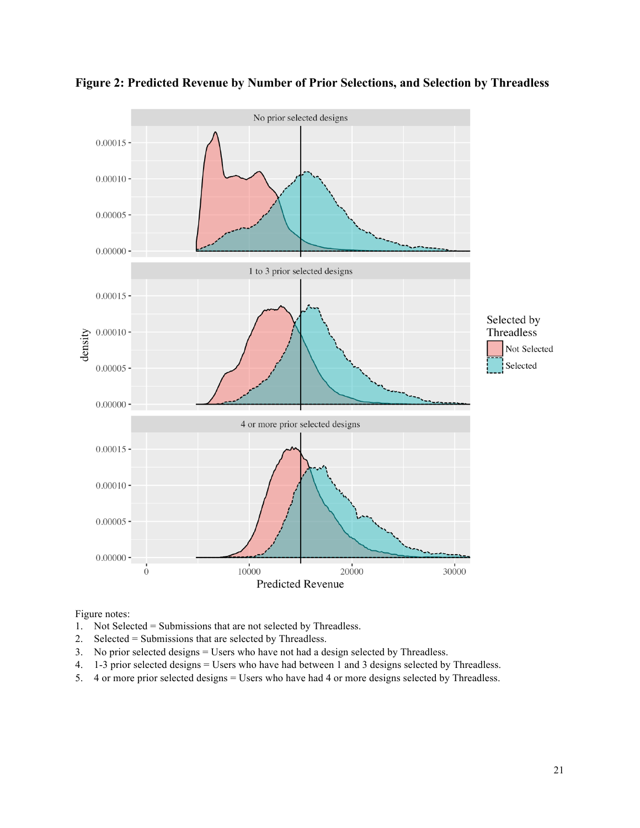



Figure notes:

- 1. Not Selected = Submissions that are not selected by Threadless.
- 2. Selected = Submissions that are selected by Threadless.
- 3. No prior selected designs = Users who have not had a design selected by Threadless.
- 4. 1-3 prior selected designs = Users who have had between 1 and 3 designs selected by Threadless.
- 5. 4 or more prior selected designs = Users who have had 4 or more designs selected by Threadless.